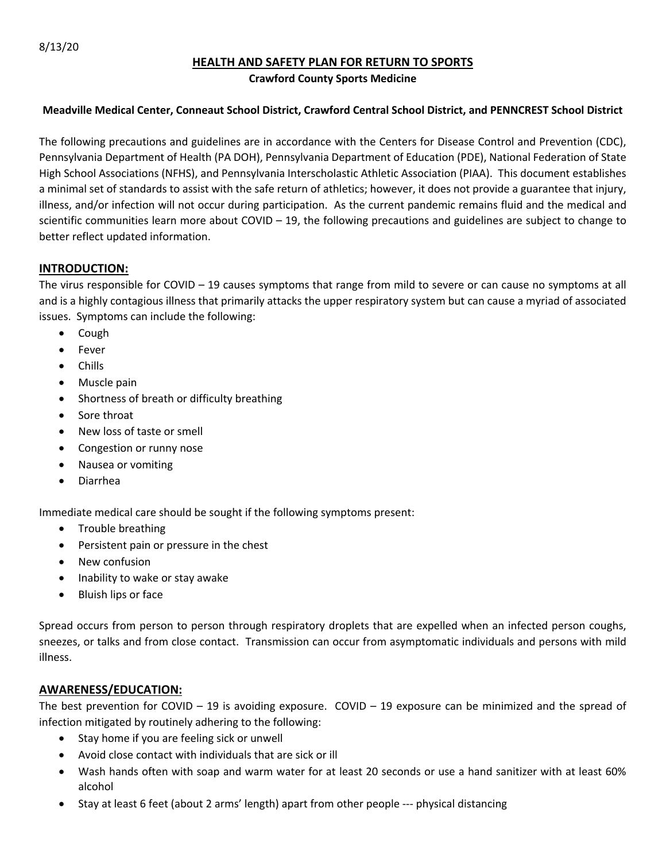# **HEALTH AND SAFETY PLAN FOR RETURN TO SPORTS**

#### **Crawford County Sports Medicine**

#### **Meadville Medical Center, Conneaut School District, Crawford Central School District, and PENNCREST School District**

The following precautions and guidelines are in accordance with the Centers for Disease Control and Prevention (CDC), Pennsylvania Department of Health (PA DOH), Pennsylvania Department of Education (PDE), National Federation of State High School Associations (NFHS), and Pennsylvania Interscholastic Athletic Association (PIAA). This document establishes a minimal set of standards to assist with the safe return of athletics; however, it does not provide a guarantee that injury, illness, and/or infection will not occur during participation. As the current pandemic remains fluid and the medical and scientific communities learn more about COVID – 19, the following precautions and guidelines are subject to change to better reflect updated information.

### **INTRODUCTION:**

The virus responsible for COVID – 19 causes symptoms that range from mild to severe or can cause no symptoms at all and is a highly contagious illness that primarily attacks the upper respiratory system but can cause a myriad of associated issues. Symptoms can include the following:

- Cough
- Fever
- Chills
- Muscle pain
- Shortness of breath or difficulty breathing
- Sore throat
- New loss of taste or smell
- Congestion or runny nose
- Nausea or vomiting
- Diarrhea

Immediate medical care should be sought if the following symptoms present:

- Trouble breathing
- Persistent pain or pressure in the chest
- New confusion
- Inability to wake or stay awake
- Bluish lips or face

Spread occurs from person to person through respiratory droplets that are expelled when an infected person coughs, sneezes, or talks and from close contact. Transmission can occur from asymptomatic individuals and persons with mild illness.

#### **AWARENESS/EDUCATION:**

The best prevention for COVID – 19 is avoiding exposure. COVID – 19 exposure can be minimized and the spread of infection mitigated by routinely adhering to the following:

- Stay home if you are feeling sick or unwell
- Avoid close contact with individuals that are sick or ill
- Wash hands often with soap and warm water for at least 20 seconds or use a hand sanitizer with at least 60% alcohol
- Stay at least 6 feet (about 2 arms' length) apart from other people --- physical distancing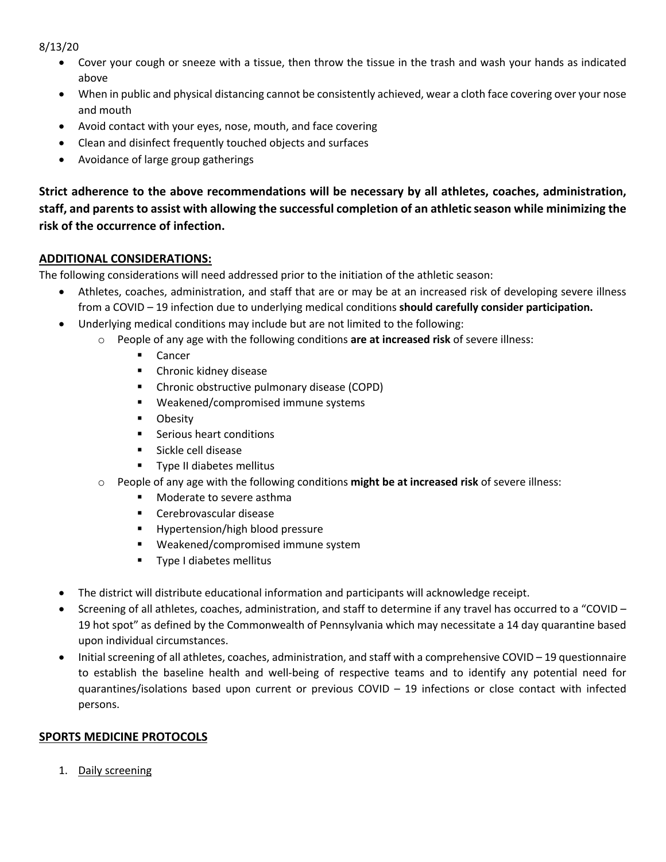- Cover your cough or sneeze with a tissue, then throw the tissue in the trash and wash your hands as indicated above
- When in public and physical distancing cannot be consistently achieved, wear a cloth face covering over your nose and mouth
- Avoid contact with your eyes, nose, mouth, and face covering
- Clean and disinfect frequently touched objects and surfaces
- Avoidance of large group gatherings

**Strict adherence to the above recommendations will be necessary by all athletes, coaches, administration, staff, and parents to assist with allowing the successful completion of an athletic season while minimizing the risk of the occurrence of infection.**

# **ADDITIONAL CONSIDERATIONS:**

The following considerations will need addressed prior to the initiation of the athletic season:

- Athletes, coaches, administration, and staff that are or may be at an increased risk of developing severe illness from a COVID – 19 infection due to underlying medical conditions **should carefully consider participation.**
- Underlying medical conditions may include but are not limited to the following:
	- o People of any age with the following conditions **are at increased risk** of severe illness:
		- Cancer
		- **•** Chronic kidney disease
		- Chronic obstructive pulmonary disease (COPD)
		- Weakened/compromised immune systems
		- Obesity
		- Serious heart conditions
		- Sickle cell disease
		- Type II diabetes mellitus
	- o People of any age with the following conditions **might be at increased risk** of severe illness:
		- § Moderate to severe asthma
		- Cerebrovascular disease
		- § Hypertension/high blood pressure
		- § Weakened/compromised immune system
		- Type I diabetes mellitus
- The district will distribute educational information and participants will acknowledge receipt.
- Screening of all athletes, coaches, administration, and staff to determine if any travel has occurred to a "COVID 19 hot spot" as defined by the Commonwealth of Pennsylvania which may necessitate a 14 day quarantine based upon individual circumstances.
- Initial screening of all athletes, coaches, administration, and staff with a comprehensive COVID 19 questionnaire to establish the baseline health and well-being of respective teams and to identify any potential need for quarantines/isolations based upon current or previous COVID – 19 infections or close contact with infected persons.

# **SPORTS MEDICINE PROTOCOLS**

1. Daily screening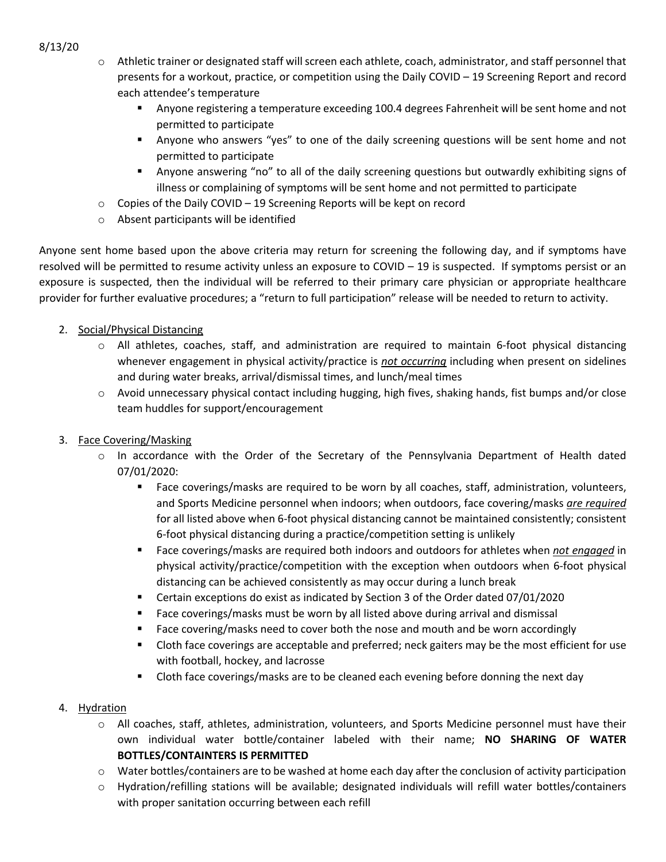- o Athletic trainer or designated staff will screen each athlete, coach, administrator, and staff personnel that presents for a workout, practice, or competition using the Daily COVID – 19 Screening Report and record each attendee's temperature
	- § Anyone registering a temperature exceeding 100.4 degrees Fahrenheit will be sent home and not permitted to participate
	- Anyone who answers "yes" to one of the daily screening questions will be sent home and not permitted to participate
	- § Anyone answering "no" to all of the daily screening questions but outwardly exhibiting signs of illness or complaining of symptoms will be sent home and not permitted to participate
- o Copies of the Daily COVID 19 Screening Reports will be kept on record
- o Absent participants will be identified

Anyone sent home based upon the above criteria may return for screening the following day, and if symptoms have resolved will be permitted to resume activity unless an exposure to COVID – 19 is suspected. If symptoms persist or an exposure is suspected, then the individual will be referred to their primary care physician or appropriate healthcare provider for further evaluative procedures; a "return to full participation" release will be needed to return to activity.

- 2. Social/Physical Distancing
	- o All athletes, coaches, staff, and administration are required to maintain 6-foot physical distancing whenever engagement in physical activity/practice is *not occurring* including when present on sidelines and during water breaks, arrival/dismissal times, and lunch/meal times
	- $\circ$  Avoid unnecessary physical contact including hugging, high fives, shaking hands, fist bumps and/or close team huddles for support/encouragement
- 3. Face Covering/Masking
	- $\circ$  In accordance with the Order of the Secretary of the Pennsylvania Department of Health dated 07/01/2020:
		- Face coverings/masks are required to be worn by all coaches, staff, administration, volunteers, and Sports Medicine personnel when indoors; when outdoors, face covering/masks *are required* for all listed above when 6-foot physical distancing cannot be maintained consistently; consistent 6-foot physical distancing during a practice/competition setting is unlikely
		- § Face coverings/masks are required both indoors and outdoors for athletes when *not engaged* in physical activity/practice/competition with the exception when outdoors when 6-foot physical distancing can be achieved consistently as may occur during a lunch break
		- Certain exceptions do exist as indicated by Section 3 of the Order dated 07/01/2020
		- Face coverings/masks must be worn by all listed above during arrival and dismissal
		- Face covering/masks need to cover both the nose and mouth and be worn accordingly
		- Cloth face coverings are acceptable and preferred; neck gaiters may be the most efficient for use with football, hockey, and lacrosse
		- Cloth face coverings/masks are to be cleaned each evening before donning the next day
- 4. Hydration
	- o All coaches, staff, athletes, administration, volunteers, and Sports Medicine personnel must have their own individual water bottle/container labeled with their name; **NO SHARING OF WATER BOTTLES/CONTAINTERS IS PERMITTED**
	- $\circ$  Water bottles/containers are to be washed at home each day after the conclusion of activity participation
	- o Hydration/refilling stations will be available; designated individuals will refill water bottles/containers with proper sanitation occurring between each refill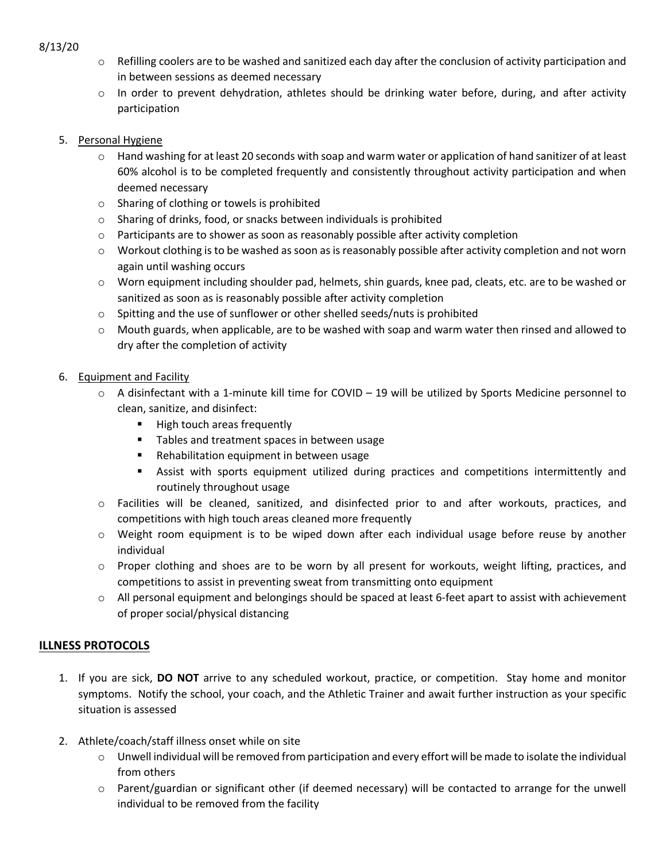- $\circ$  Refilling coolers are to be washed and sanitized each day after the conclusion of activity participation and in between sessions as deemed necessary
- o In order to prevent dehydration, athletes should be drinking water before, during, and after activity participation

### 5. Personal Hygiene

- o Hand washing for at least 20 seconds with soap and warm water or application of hand sanitizer of at least 60% alcohol is to be completed frequently and consistently throughout activity participation and when deemed necessary
- o Sharing of clothing or towels is prohibited
- o Sharing of drinks, food, or snacks between individuals is prohibited
- $\circ$  Participants are to shower as soon as reasonably possible after activity completion
- o Workout clothing is to be washed as soon as is reasonably possible after activity completion and not worn again until washing occurs
- o Worn equipment including shoulder pad, helmets, shin guards, knee pad, cleats, etc. are to be washed or sanitized as soon as is reasonably possible after activity completion
- $\circ$  Spitting and the use of sunflower or other shelled seeds/nuts is prohibited
- $\circ$  Mouth guards, when applicable, are to be washed with soap and warm water then rinsed and allowed to dry after the completion of activity
- 6. Equipment and Facility
	- $\circ$  A disinfectant with a 1-minute kill time for COVID 19 will be utilized by Sports Medicine personnel to clean, sanitize, and disinfect:
		- **■** High touch areas frequently
		- Tables and treatment spaces in between usage
		- Rehabilitation equipment in between usage
		- **•** Assist with sports equipment utilized during practices and competitions intermittently and routinely throughout usage
	- o Facilities will be cleaned, sanitized, and disinfected prior to and after workouts, practices, and competitions with high touch areas cleaned more frequently
	- $\circ$  Weight room equipment is to be wiped down after each individual usage before reuse by another individual
	- o Proper clothing and shoes are to be worn by all present for workouts, weight lifting, practices, and competitions to assist in preventing sweat from transmitting onto equipment
	- o All personal equipment and belongings should be spaced at least 6-feet apart to assist with achievement of proper social/physical distancing

# **ILLNESS PROTOCOLS**

- 1. If you are sick, **DO NOT** arrive to any scheduled workout, practice, or competition. Stay home and monitor symptoms. Notify the school, your coach, and the Athletic Trainer and await further instruction as your specific situation is assessed
- 2. Athlete/coach/staff illness onset while on site
	- $\circ$  Unwell individual will be removed from participation and every effort will be made to isolate the individual from others
	- o Parent/guardian or significant other (if deemed necessary) will be contacted to arrange for the unwell individual to be removed from the facility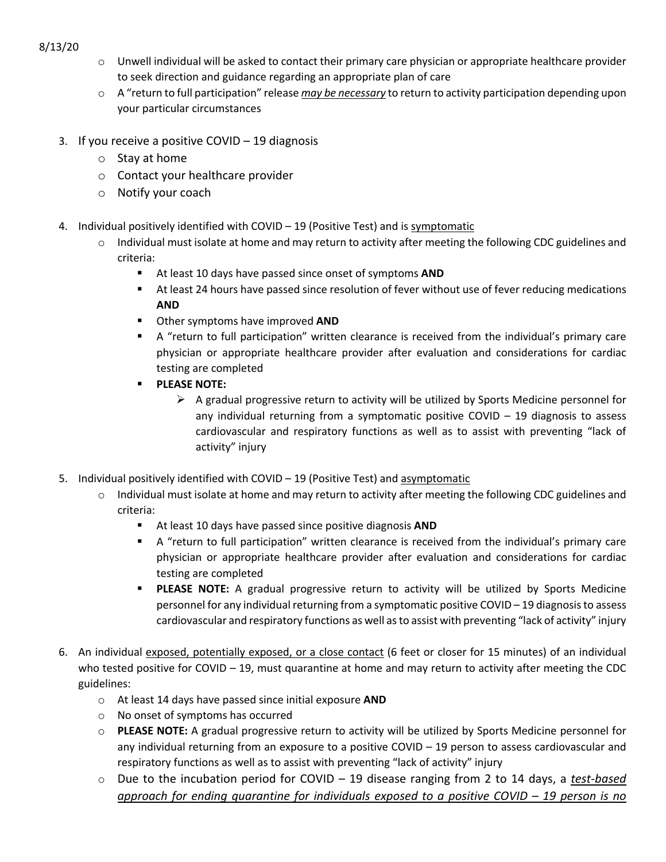- 8/13/20
- $\circ$  Unwell individual will be asked to contact their primary care physician or appropriate healthcare provider to seek direction and guidance regarding an appropriate plan of care
- o A "return to full participation" release *may be necessary* to return to activity participation depending upon your particular circumstances
- 3. If you receive a positive COVID 19 diagnosis
	- o Stay at home
	- o Contact your healthcare provider
	- o Notify your coach
- 4. Individual positively identified with COVID 19 (Positive Test) and is symptomatic
	- $\circ$  Individual must isolate at home and may return to activity after meeting the following CDC guidelines and criteria:
		- At least 10 days have passed since onset of symptoms **AND**
		- At least 24 hours have passed since resolution of fever without use of fever reducing medications **AND**
		- § Other symptoms have improved **AND**
		- § A "return to full participation" written clearance is received from the individual's primary care physician or appropriate healthcare provider after evaluation and considerations for cardiac testing are completed
		- § **PLEASE NOTE:**
			- $\triangleright$  A gradual progressive return to activity will be utilized by Sports Medicine personnel for any individual returning from a symptomatic positive COVID  $-$  19 diagnosis to assess cardiovascular and respiratory functions as well as to assist with preventing "lack of activity" injury
- 5. Individual positively identified with COVID 19 (Positive Test) and asymptomatic
	- $\circ$  Individual must isolate at home and may return to activity after meeting the following CDC guidelines and criteria:
		- § At least 10 days have passed since positive diagnosis **AND**
		- § A "return to full participation" written clearance is received from the individual's primary care physician or appropriate healthcare provider after evaluation and considerations for cardiac testing are completed
		- **PLEASE NOTE:** A gradual progressive return to activity will be utilized by Sports Medicine personnel for any individual returning from a symptomatic positive COVID – 19 diagnosis to assess cardiovascular and respiratory functions as well as to assist with preventing "lack of activity" injury
- 6. An individual exposed, potentially exposed, or a close contact (6 feet or closer for 15 minutes) of an individual who tested positive for COVID – 19, must quarantine at home and may return to activity after meeting the CDC guidelines:
	- o At least 14 days have passed since initial exposure **AND**
	- o No onset of symptoms has occurred
	- o **PLEASE NOTE:** A gradual progressive return to activity will be utilized by Sports Medicine personnel for any individual returning from an exposure to a positive COVID – 19 person to assess cardiovascular and respiratory functions as well as to assist with preventing "lack of activity" injury
	- o Due to the incubation period for COVID 19 disease ranging from 2 to 14 days, a *test-based approach for ending quarantine for individuals exposed to a positive COVID – 19 person is no*